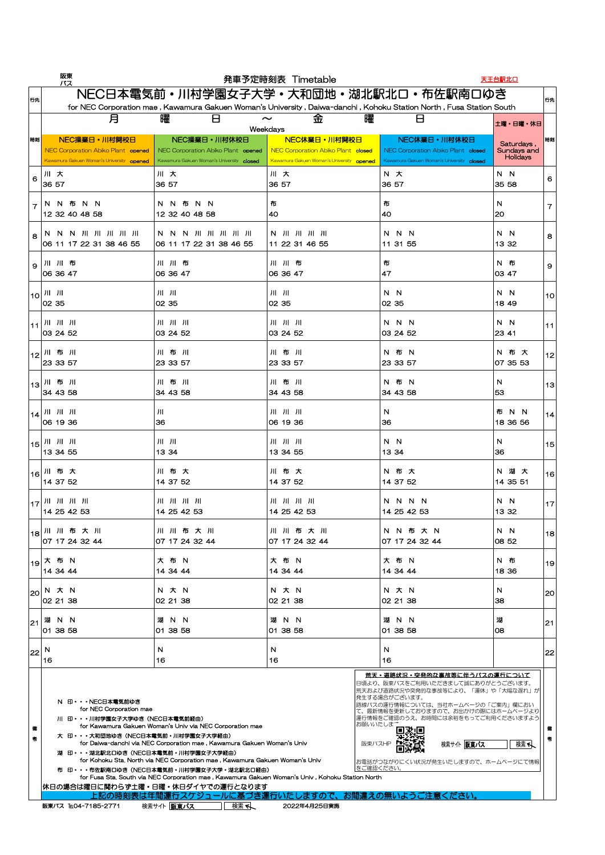|                          | 阪東<br>バス                                                                                               |                                                                                                                                                             | 発車予定時刻表 Timetable                                                                                      |                                                                                                 | 天王台駅北口                                       |      |
|--------------------------|--------------------------------------------------------------------------------------------------------|-------------------------------------------------------------------------------------------------------------------------------------------------------------|--------------------------------------------------------------------------------------------------------|-------------------------------------------------------------------------------------------------|----------------------------------------------|------|
| 行先                       |                                                                                                        | NEC日本電気前・川村学園女子大学・大和団地・湖北駅北口・布佐駅南口ゆき<br>for NEC Corporation mae, Kawamura Gakuen Woman's University, Daiwa-danchi, Kohoku Station North, Fusa Station South |                                                                                                        |                                                                                                 |                                              | 行先   |
|                          | 月                                                                                                      | 曜<br>H                                                                                                                                                      | 曜<br>金<br>$\sim$<br>Weekdays                                                                           | Н                                                                                               | 土曜・日曜・休日                                     |      |
| 時刻                       | NEC操業日·川村開校日<br>NEC Corporation Abiko Plant opened<br>Kawamura Gakuen Woman's University opened        | NEC操業日·川村休校日<br>NEC Corporation Abiko Plant opened<br>Kawamura Gakuen Woman's University closed                                                             | NEC休業日·川村開校日<br><b>NEC Corporation Abiko Plant closed</b><br>Kawamura Gakuen Woman's University opened | NEC休業日·川村休校日<br>NEC Corporation Abiko Plant closed<br>Kawamura Gakuen Woman's University closed | Saturdays,<br>Sundays and<br><b>Holidays</b> | 時刻   |
| 6                        | 川大<br> 36 57                                                                                           | 川大<br>36 57                                                                                                                                                 | 川大<br>36 57                                                                                            | N 大<br> 36 57                                                                                   | N N<br>35 58                                 | 6    |
| $\overline{\phantom{a}}$ | 布<br>N.<br>N.<br>N N<br>12 32 40 48 58                                                                 | N 布 N N<br>N.<br>12 32 40 48 58                                                                                                                             | 布<br>40                                                                                                | 布<br>14O                                                                                        | N<br><b>20</b>                               |      |
| $\mathsf{g}$             | N N N JII JII JII JII JII<br>06 11 17 22 31 38 46 55                                                   | N N N JII JII JII JII JII<br>06 11 17 22 31 38 46 55                                                                                                        | $\begin{bmatrix} N & J\Pi & J\Pi & J\Pi & J\Pi \end{bmatrix}$<br>11 22 31 46 55                        | N N N<br>11 31 55                                                                               | N N<br>13 32                                 | 8    |
| $\mathbf{Q}$             | 川川布<br>$ 06\,36\,47$                                                                                   | 川川布<br>06 36 47                                                                                                                                             | 川川布<br>06 36 47                                                                                        | 布<br> 47                                                                                        | N 布<br> 03 47                                | 9    |
|                          | $\vert 10 \vert$ JII JII<br>$\overline{)02}35$                                                         | $J  -J  $<br>02 35                                                                                                                                          | $J  $ $J  $<br>02 35                                                                                   | N N<br>02 35                                                                                    | N N<br>18 49                                 | 10   |
|                          | $\lfloor 11 \rfloor$ $\lfloor 11 \rfloor$ $\lfloor 11 \rfloor$ $\lfloor 11 \rfloor$<br>$ 03 \t24 \t52$ | $JII$ $JII$ $JII$<br>03 24 52                                                                                                                               | 川川川<br>03 24 52                                                                                        | N N N<br>03 24 52                                                                               | N N<br>23 41                                 | 11   |
|                          | 1 <sub>12</sub> 川布川<br>23 33 57                                                                        | 川布川<br>23 33 57                                                                                                                                             | 川布川<br>23 33 57                                                                                        | N 布 N<br>23 33 57                                                                               | N 布 大<br>07 35 53                            | $12$ |
|                          | 13川布川<br>34 43 58                                                                                      | 川布川<br>34 43 58                                                                                                                                             | 川布川<br>34 43 58                                                                                        | N 布 N<br>34 43 58                                                                               | $\mathbb N$<br>53                            | 13   |
|                          | $ 14 $ $  1  $ $  1  $<br> 06 19 36                                                                    | JII<br>36                                                                                                                                                   | 06 19 36                                                                                               | N<br>36                                                                                         | 布 N N<br>18 36 56                            | 14   |
|                          | $ 15 $ $  1  $ $  1  $<br>13 34 55                                                                     | $J  $ $J  $<br>13 34                                                                                                                                        | $JII$ $JII$ $JII$<br>13 34 55                                                                          | N N<br>13 34                                                                                    | N<br> 36                                     | 15   |
|                          | 16川布大<br>14 37 52                                                                                      | 川布大<br>14 37 52                                                                                                                                             | 川布大<br>14 37 52                                                                                        | N 布 大<br>14 37 52                                                                               | N 湖 大<br>14 35 51                            | 16   |
|                          | $\left  \frac{1}{17} \right $ JII JII JII<br>14254253                                                  | 14 25 42 53                                                                                                                                                 | 14 25 42 53                                                                                            | N N N N<br>14 25 42 53                                                                          | N N<br>13 32                                 | 17   |
|                          | 1 <sub>18</sub> 川川布大川<br>07 17 24 32 44                                                                | 川川布大川<br>07 17 24 32 44                                                                                                                                     | 川川布大川<br>$ 07 \t17 \t24 \t32 \t44$                                                                     | N N 布 大 N<br>07 17 24 32 44                                                                     | N N<br>08 52                                 | 18   |
|                          | 19 大 布 N<br>14 34 44                                                                                   | 大 布 N<br>14 34 44                                                                                                                                           | 大 布 N<br>14 34 44                                                                                      | 大 布 N<br>14 34 44                                                                               | N 布<br>18 36                                 | 191  |
| 20                       | N 大 N<br>$ 02\;21\;38$                                                                                 | N 大 N<br>02 21 38                                                                                                                                           | N 大 N<br>02 21 38                                                                                      | N 大 N<br>02 21 38                                                                               | N<br> 38                                     | 20   |

|    |                                                                                                                                                                                                                                                                                                                                                                                                                                                                                                                                                                                                                                                                                                           |         |                                                                                                                                                                                                                                                                                                                                       |                             | $\smash{\smash{\cup}}\!\!\smash{\smash{\cup}}$ |    |
|----|-----------------------------------------------------------------------------------------------------------------------------------------------------------------------------------------------------------------------------------------------------------------------------------------------------------------------------------------------------------------------------------------------------------------------------------------------------------------------------------------------------------------------------------------------------------------------------------------------------------------------------------------------------------------------------------------------------------|---------|---------------------------------------------------------------------------------------------------------------------------------------------------------------------------------------------------------------------------------------------------------------------------------------------------------------------------------------|-----------------------------|------------------------------------------------|----|
| 21 | 湖<br>N N<br>湖<br>N N<br>N N<br>01 38 58<br>01 38 58                                                                                                                                                                                                                                                                                                                                                                                                                                                                                                                                                                                                                                                       |         | 湖<br>N N<br>$ 01 \, 38 \, 58$                                                                                                                                                                                                                                                                                                         | 湖<br><b>08</b>              | 21                                             |    |
| 22 | - N<br>16                                                                                                                                                                                                                                                                                                                                                                                                                                                                                                                                                                                                                                                                                                 | N<br>16 | N<br>16                                                                                                                                                                                                                                                                                                                               | N<br>16                     |                                                | 22 |
| 考  | $ 01 \, 38 \, 58$<br>N 印・・・NEC日本電気前ゆき<br>for NEC Corporation mae<br>川 印・・・川村学園女子大学ゆき (NEC日本電気前経由)<br>for Kawamura Gakuen Woman's Univ via NEC Corporation mae<br>大 印···大和団地ゆき (NEC日本電気前・川村学園女子大学経由)<br>for Daiwa-danchi via NEC Corporation mae, Kawamura Gakuen Woman's Univ<br>湖 印···湖北駅北口ゆき (NEC日本電気前・川村学園女子大学経由)<br>for Kohoku Sta. North via NEC Corporation mae, Kawamura Gakuen Woman's Univ<br>布 印・・・布佐駅南口ゆき(NEC日本電気前・川村学園女子大学・湖北駅北口経由)<br>for Fusa Sta, South via NEC Corporation mae, Kawamura Gakuen Woman's Univ, Kohoku Station North<br> 休日の場合は曜日に関わらず土曜・日曜・休日ダイヤでの運行となります<br>上記の時刻表は年間運行スケジュールに基づき運行いたしますので、お間違えの無いようご注意ください。<br>検索へ<br>検索サイト 阪東バス<br>2022年4月25日実施<br>阪東バス IEL04-7185-2771 |         | <u> 荒天・道路状況・突発的な事故等に伴うバスの運行について</u><br> 日頃より、阪東バスをご利用いただきまして誠にありがとうございます。<br> 荒天および道路状況や突発的な事故等により、「運休」や「大幅な遅れ」が <br> 発生する場合がございます。<br> 路線バスの運行情報については、当社ホームページの「ご案内」欄におい<br> て、最新情報を更新しておりますので、お出かけの際にはホームページより <br> 運行情報をご確認のうえ、お時間には余裕をもってご利用くださいますよう <br>お願いいたしまさ<br>阪東バスHP<br> お電話がつながりにくい状況が発生いたしますので、ホームページにて情報 <br> をご確認ください。 | 検索サイト   阪東バス<br><u>検索 ト</u> | 考                                              |    |
|    |                                                                                                                                                                                                                                                                                                                                                                                                                                                                                                                                                                                                                                                                                                           |         |                                                                                                                                                                                                                                                                                                                                       |                             |                                                |    |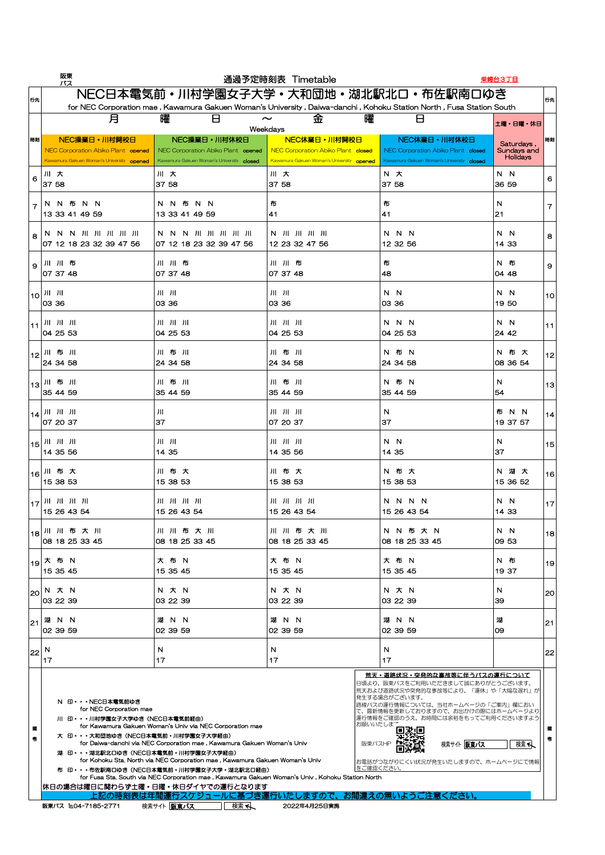|                          | 阪東<br>バス                                                                                        |                                                                                                                                                             | 通過予定時刻表 Timetable                                                                                                                                                                                         |                                                                                                 | 柴崎台3丁目                                       |      |
|--------------------------|-------------------------------------------------------------------------------------------------|-------------------------------------------------------------------------------------------------------------------------------------------------------------|-----------------------------------------------------------------------------------------------------------------------------------------------------------------------------------------------------------|-------------------------------------------------------------------------------------------------|----------------------------------------------|------|
| 行先                       |                                                                                                 | NEC日本電気前・川村学園女子大学・大和団地・湖北駅北口・布佐駅南口ゆき<br>for NEC Corporation mae, Kawamura Gakuen Woman's University, Daiwa-danchi, Kohoku Station North, Fusa Station South |                                                                                                                                                                                                           |                                                                                                 |                                              | 行先   |
|                          | 月                                                                                               | 曜<br>H                                                                                                                                                      | 曜<br>金<br>$\sim$<br>Weekdays                                                                                                                                                                              | $\Box$                                                                                          | 土曜・日曜・休日                                     |      |
| 時刻                       | NEC操業日·川村開校日<br>NEC Corporation Abiko Plant opened<br>Kawamura Gakuen Woman's University opened | NEC操業日·川村休校日<br>NEC Corporation Abiko Plant opened<br>Kawamura Gakuen Woman's University closed                                                             | NEC休業日·川村開校日<br>NEC Corporation Abiko Plant closed<br>Kawamura Gakuen Woman's University opened                                                                                                           | NEC休業日·川村休校日<br>NEC Corporation Abiko Plant closed<br>Kawamura Gakuen Woman's University closed | Saturdays,<br>Sundays and<br><b>Holidays</b> | 時刻   |
| 6                        | 川大<br>37 58                                                                                     | 川大<br>37 58                                                                                                                                                 | 川大<br>37 58                                                                                                                                                                                               | N 大<br>37 58                                                                                    | N N<br>36 59                                 | 6    |
| $\overline{\phantom{a}}$ | 布<br>N.<br><b>N</b><br>N.<br>- N<br>13 33 41<br>49 59                                           | 布<br>N.<br>N.<br>N N<br>13 33 41 49 59                                                                                                                      | 布<br>$\sqrt{41}$                                                                                                                                                                                          | 布<br>41                                                                                         | N<br> 21                                     |      |
| 8                        | N N N JII JII JII JII JII<br>07 12 18 23 32 39 47 56                                            | N N N JII JII JII JII JII<br>07 12 18 23 32 39 47 56                                                                                                        | $\begin{bmatrix} N & J\Pi & J\Pi & J\Pi & J\Pi \end{bmatrix}$<br>12 23 32 47 56                                                                                                                           | N N N<br>12 32 56                                                                               | N N<br>14 33                                 | 8    |
| 9                        | 川川布<br>$ 07\;37\;48$                                                                            | 川川布<br>07 37 48                                                                                                                                             | 川川布<br>07 37 48                                                                                                                                                                                           | 布<br> 48                                                                                        | N 布<br>04 48                                 | 9    |
|                          | $\vert 1_{10} \vert$ JII JII<br>03 36                                                           | $J  -J  $<br>03 36                                                                                                                                          | $J  $ $J  $<br>03 36                                                                                                                                                                                      | N N<br>03 36                                                                                    | N N<br>19 50                                 | 10   |
|                          | 川川川<br>$\big)04\ 25\ 53$                                                                        | $JII$ $JII$ $JII$<br>$ 04\;25\;53\rangle$                                                                                                                   | 川川川<br>04 25 53                                                                                                                                                                                           | N N N<br>04 25 53                                                                               | N N<br>24 42                                 | 11   |
|                          | 112川布川<br>$\vert$ 24 34 58                                                                      | 川布川<br>24 34 58                                                                                                                                             | 川布川<br>24 34 58                                                                                                                                                                                           | N 布 N<br>24 34 58                                                                               | N 布 大<br>08 36 54                            | $12$ |
| 13                       | 川布川<br>35 44 59                                                                                 | 川布川<br>35 44 59                                                                                                                                             | 川布川<br>35 44 59                                                                                                                                                                                           | N 布 N<br>35 44 59                                                                               | N<br>54                                      | 13   |
|                          | $ 14 $ $  1  $ $  1  $<br> 07 20 37                                                             | $J \parallel$<br>37                                                                                                                                         | 川川川<br>07 20 37                                                                                                                                                                                           | $\mathbb N$<br>137                                                                              | 布 N N<br>19 37 57                            | $14$ |
| 15                       | $J  -J  -J  $<br>$ 14\;35\;56 $                                                                 | $J  -J  $<br>14 35                                                                                                                                          | $\left  \begin{array}{cc} 1 \end{array} \right  \left  \begin{array}{cc} 1 \end{array} \right  \left  \begin{array}{cc} 1 \end{array} \right  \left  \begin{array}{cc} 1 \end{array} \right $<br>14 35 56 | N N<br>14 35                                                                                    | N<br>37                                      | 15   |
|                          | 16川布大<br>15 38 53                                                                               | 川布大<br>15 38 53                                                                                                                                             | 川布大<br>15 38 53                                                                                                                                                                                           | N 布 大<br>15 38 53                                                                               | N 湖 大<br>15 36 52                            | 16   |
|                          | $\left  \frac{1}{17} \right $ JII JII JII<br>15 26 43 54                                        | 15 26 43 54                                                                                                                                                 | 15 26 43 54                                                                                                                                                                                               | N N N N<br>15 26 43 54                                                                          | N N<br>14 33                                 | 17   |
|                          | 118 川川布大川<br>08 18 25 33 45                                                                     | 川川布大川<br>08 18 25 33 45                                                                                                                                     | 川川布大川<br>08 18 25 33 45                                                                                                                                                                                   | N N 布 大 N<br>08 18 25 33 45                                                                     | N N<br>09 53                                 | 18   |
| 19                       | 大 布 N<br>15 35 45                                                                               | 大 布 N<br>15 35 45                                                                                                                                           | 大 布 N<br>15 35 45                                                                                                                                                                                         | 大 布 N<br>15 35 45                                                                               | N布<br>19 37                                  | 19   |
| 20                       | N 大 N<br>03 22 39                                                                               | N 大 N<br>03 22 39                                                                                                                                           | N 大 N<br>03 22 39                                                                                                                                                                                         | N 大 N<br>03 22 39                                                                               | N<br>39                                      | 20   |

| 21 | 湖<br>N N<br>$ 02\,39\,59$                                                                                                                                                                     | N N<br>湖<br> 02 39 59                                                                                                                                                                                                                                                                                                                                                                                                | 湖 N N<br>02 39 59              | 湖 N N<br>$ 02\,39\,59$                                                                                                                                                                                                                                                                                                         | 湖<br>09 | 21  |
|----|-----------------------------------------------------------------------------------------------------------------------------------------------------------------------------------------------|----------------------------------------------------------------------------------------------------------------------------------------------------------------------------------------------------------------------------------------------------------------------------------------------------------------------------------------------------------------------------------------------------------------------|--------------------------------|--------------------------------------------------------------------------------------------------------------------------------------------------------------------------------------------------------------------------------------------------------------------------------------------------------------------------------|---------|-----|
|    | $ 22 $ N<br>17                                                                                                                                                                                | N<br>17                                                                                                                                                                                                                                                                                                                                                                                                              | N<br>17                        | N<br>17                                                                                                                                                                                                                                                                                                                        |         | '22 |
|    | N 印・・・NEC日本電気前ゆき<br>for NEC Corporation mae<br>川 印・・・川村学園女子大学ゆき(NEC日本電気前経由)<br>大 印・・・大和団地ゆき(NEC日本電気前・川村学園女子大学経由)<br>湖 印···湖北駅北口ゆき (NEC日本電気前・川村学園女子大学経由)<br> 休日の場合は曜日に関わらず土曜・日曜・休日ダイヤでの運行となります | for Kawamura Gakuen Woman's Univ via NEC Corporation mae<br>for Daiwa-danchi via NEC Corporation mae, Kawamura Gakuen Woman's Univ<br>for Kohoku Sta. North via NEC Corporation mae, Kawamura Gakuen Woman's Univ<br>布 印・・・布佐駅南口ゆき(NEC日本電気前・川村学園女子大学・湖北駅北口経由)<br>for Fusa Sta, South via NEC Corporation mae, Kawamura Gakuen Woman's Univ, Kohoku Station North<br>上記の時刻表は年間運行スケジュールに基づき運行いたしますので、お間違えの無いようご注意ください。 | お願いいたしま <sup>→</sup><br>阪東バスHP | <u> 荒天・道路状況・突発的な事故等に伴うバスの運行について</u><br> 日頃より、阪東バスをご利用いただきまして誠にありがとうございます。<br> 荒天および道路状況や突発的な事故等により、「運休」や「大幅な遅れ」が<br> 発生する場合がございます。<br> 路線バスの運行情報については、当社ホームページの「ご案内」欄におい<br> て、最新情報を更新しておりますので、お出かけの際にはホームページより <br> 運行情報をご確認のうえ、お時間には余裕をもってご利用くださいますよう <br>検索サイト   阪東バス<br> お電話がつながりにくい状況が発生いたしますので、ホームページにて情報 <br> をご確認ください。 | 検索へ     |     |
|    | 阪東バス TELO4-7185-2771                                                                                                                                                                          | 検索サイト 阪東バス<br>検索へ                                                                                                                                                                                                                                                                                                                                                                                                    | 2022年4月25日実施                   |                                                                                                                                                                                                                                                                                                                                |         |     |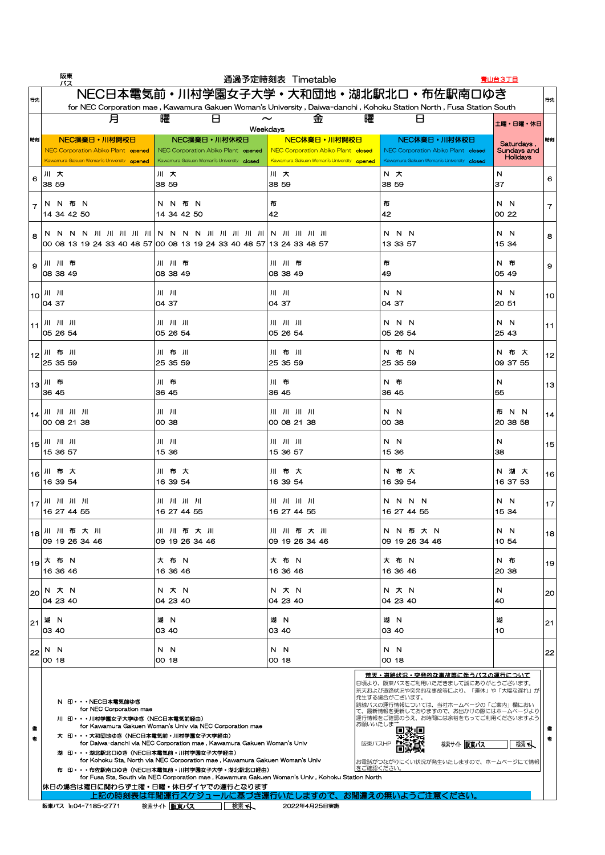|                          | 阪東<br>バス                                                                                        |                                                                                                                                                             | 通過予定時刻表 Timetable                                                                                         |                                                                                                 | 青山台3丁目                                       |      |
|--------------------------|-------------------------------------------------------------------------------------------------|-------------------------------------------------------------------------------------------------------------------------------------------------------------|-----------------------------------------------------------------------------------------------------------|-------------------------------------------------------------------------------------------------|----------------------------------------------|------|
| 行先                       |                                                                                                 | NEC日本電気前・川村学園女子大学・大和団地・湖北駅北口・布佐駅南口ゆき<br>for NEC Corporation mae, Kawamura Gakuen Woman's University, Daiwa-danchi, Kohoku Station North, Fusa Station South |                                                                                                           |                                                                                                 |                                              | 行先   |
|                          | 月                                                                                               | 曜<br>H<br>$\sim$                                                                                                                                            | 曜<br>金<br>Weekdays                                                                                        | Ь                                                                                               | 土曜・日曜・休日                                     |      |
| 時刻                       | NEC操業日·川村開校日<br>NEC Corporation Abiko Plant opened<br>Kawamura Gakuen Woman's University opened | NEC操業日·川村休校日<br>NEC Corporation Abiko Plant opened<br>Kawamura Gakuen Woman's University closed                                                             | NEC休業日·川村開校日<br><b>NEC Corporation Abiko Plant closed</b><br>Kawamura Gakuen Woman's University opened    | NEC休業日·川村休校日<br>NEC Corporation Abiko Plant closed<br>Kawamura Gakuen Woman's University closed | Saturdays,<br>Sundays and<br><b>Holidays</b> | 時刻   |
| 6                        | JII<br>大<br> 38 59                                                                              | 川大<br>38 59                                                                                                                                                 | 大<br>$J \parallel$<br>38 59                                                                               | 大<br>N.<br>38 59                                                                                | N<br>137                                     | 6    |
| $\overline{\phantom{a}}$ | 布<br>N.<br><b>N</b><br>- N<br>14 34 42 50                                                       | 布 N<br>N<br>N.<br>14 34 42 50                                                                                                                               | 布<br>42                                                                                                   | 布<br> 42                                                                                        | N.<br>$\overline{N}$<br> 00 22               |      |
| 8                        |                                                                                                 | 00 08 13 19 24 33 40 48 57 00 08 13 19 24 33 40 48 57 13 24 33 48 57                                                                                        |                                                                                                           | N N N<br>13 33 57                                                                               | N N<br>15 34                                 | 8    |
| $\overline{9}$           | 川川布<br>$ 08\,38\,49$                                                                            | 川 川 布<br>08 38 49                                                                                                                                           | 川川布<br>08 38 49                                                                                           | 布<br> 49                                                                                        | N 布<br>05 49                                 | 9    |
|                          | $\vert 10 \vert$ JII JII<br>$ 04 \t37$                                                          | $J  $ $J  $<br>04 37                                                                                                                                        | $J  -J  $<br>04 37                                                                                        | N N<br>04 37                                                                                    | N N<br>20 51                                 | 10   |
|                          | 川川川<br> 05 26 54                                                                                | $JII$ $JII$ $JII$<br>05 26 54                                                                                                                               | $JII$ $JII$ $JII$<br>05 26 54                                                                             | N N N<br>05 26 54                                                                               | N N<br>25 43                                 | 11   |
|                          | 112川布川<br>$ 25\;35\;59\rangle$                                                                  | 川布川<br>25 35 59                                                                                                                                             | 川布川<br>25 35 59                                                                                           | N 布 N<br>25 35 59                                                                               | N 布 大<br>09 37 55                            | $12$ |
|                          | 113川 布<br>36 45                                                                                 | 川布<br> 36 45                                                                                                                                                | 川布<br> 36 45                                                                                              | N 布<br> 36 45                                                                                   | N<br>55                                      | 13   |
|                          | $\left  \begin{array}{cc} 1 & 1 & 1 \end{array} \right $ /11 /11 /11<br>00 08 21 38             | $J  $ $J  $<br>00 38                                                                                                                                        | 00 08 21 38                                                                                               | N N<br>00 38                                                                                    | 布<br>N N<br>20 38 58                         | 14   |
| 15                       | $\left \begin{array}{ccc} 1 & 1 & 1 \\ 1 & 1 & 1 \end{array}\right $<br>15 36 57                | $J  $ $J  $<br>15 36                                                                                                                                        | $\left \begin{array}{ccc} 1 & 1 & 1 \\ 1 & 1 & 1 \end{array}\right $<br>15 36 57                          | N N<br>15 36                                                                                    | N<br>38                                      | 15   |
| 16                       | 川布大<br>16 39 54                                                                                 | 川布大<br>16 39 54                                                                                                                                             | 川布大<br>16 39 54                                                                                           | N 布 大<br>16 39 54                                                                               | N 湖 大<br>16 37 53                            | 16   |
| 17                       | 16 27 44 55                                                                                     | 16 27 44 55                                                                                                                                                 | $\begin{array}{c} \text{ }   1   \text{ }   1   \text{ }   1   \text{ }   1   \end{array}$<br>16 27 44 55 | N N N N<br>16 27 44 55                                                                          | N N<br>15 34                                 | 17   |
|                          | 1 <sub>18</sub> 川川布大川<br>09 19 26 34 46                                                         | 川川布大川<br>09 19 26 34 46                                                                                                                                     | 川川布大川<br>09 19 26 34 46                                                                                   | N N 布 大 N<br>09 19 26 34 46                                                                     | N N<br>10 54                                 | 18   |
| 19                       | 大 布 N<br>16 36 46                                                                               | 大 布 N<br>16 36 46                                                                                                                                           | 大 布 N<br>16 36 46                                                                                         | 大 布 N<br>16 36 46                                                                               | N 布<br>20 38                                 | 19   |
| 20                       | N 大 N<br>$ 04 \t23 \t40$                                                                        | N 大 N<br>04 23 40                                                                                                                                           | N 大 N<br>04 23 40                                                                                         | N 大 N<br>04 23 40                                                                               | N<br> 40                                     | 20   |

|        |               | IU4 ZJ 4U                                                                                                                                               | U4 20 40                                                                                                                                                                                                                                                                                                                                                                                                                                                   | IU4 ZJ 4U         | IV <del>4</del> 20 40                                                                                                                                                                                                                                                                                                                 | 14U     |    |
|--------|---------------|---------------------------------------------------------------------------------------------------------------------------------------------------------|------------------------------------------------------------------------------------------------------------------------------------------------------------------------------------------------------------------------------------------------------------------------------------------------------------------------------------------------------------------------------------------------------------------------------------------------------------|-------------------|---------------------------------------------------------------------------------------------------------------------------------------------------------------------------------------------------------------------------------------------------------------------------------------------------------------------------------------|---------|----|
| 21     | 湖<br>103 40   | <b>N</b>                                                                                                                                                | 湖 N<br>03 40                                                                                                                                                                                                                                                                                                                                                                                                                                               | 湖<br>- N<br>03 40 | 湖 N<br>03 40                                                                                                                                                                                                                                                                                                                          | 湖<br>10 | 21 |
| 22     | N N<br>100 18 |                                                                                                                                                         | N N<br>100 18                                                                                                                                                                                                                                                                                                                                                                                                                                              | N N<br>00 18      | N N<br>100 18                                                                                                                                                                                                                                                                                                                         |         | 22 |
| 備<br>考 |               | N 印・・・NEC日本電気前ゆき<br>for NEC Corporation mae<br>川 印・・・川村学園女子大学ゆき(NEC日本電気前経由)<br>大 印・・・大和団地ゆき(NEC日本電気前・川村学園女子大学経由)<br>湖 印···湖北駅北口ゆき (NEC日本電気前・川村学園女子大学経由) | for Kawamura Gakuen Woman's Univ via NEC Corporation mae<br>for Daiwa-danchi via NEC Corporation mae, Kawamura Gakuen Woman's Univ<br>for Kohoku Sta. North via NEC Corporation mae, Kawamura Gakuen Woman's Univ<br>布 印···布佐駅南口ゆき(NEC日本電気前・川村学園女子大学・湖北駅北口経由)<br>for Fusa Sta, South via NEC Corporation mae, Kawamura Gakuen Woman's Univ, Kohoku Station North<br> 休日の場合は曜日に関わらず土曜・日曜・休日ダイヤでの運行となります<br>上記の時刻表は年間運行スケジュールに基づき運行いたしますので、お間違えの無いようご注意ください。 | 阪東バスHP            | <u> 荒天・道路状況・突発的な事故等に伴うバスの運行について</u><br>日頃より、阪東バスをご利用いただきまして誠にありがとうございます。<br>荒天および道路状況や突発的な事故等により、「運休」や「大幅な遅れ」が <br> 発生する場合がございます。<br> 路線バスの運行情報については、当社ホームページの「ご案内」欄におい<br>で、最新情報を更新しておりますので、お出かけの際にはホームページより <br>運行情報をご確認のうえ、お時間には余裕をもってご利用くださいますよう <br>お願いいたしまさ<br>検索サイト   阪東バス<br>お電話がつながりにくい状況が発生いたしますので、ホームページにて情報<br> をご確認ください。 | 検索へ     |    |
|        |               | 阪東バス TELO4-7185-2771                                                                                                                                    | 検索サイト 阪東バス<br>検索へ                                                                                                                                                                                                                                                                                                                                                                                                                                          | 2022年4月25日実施      |                                                                                                                                                                                                                                                                                                                                       |         |    |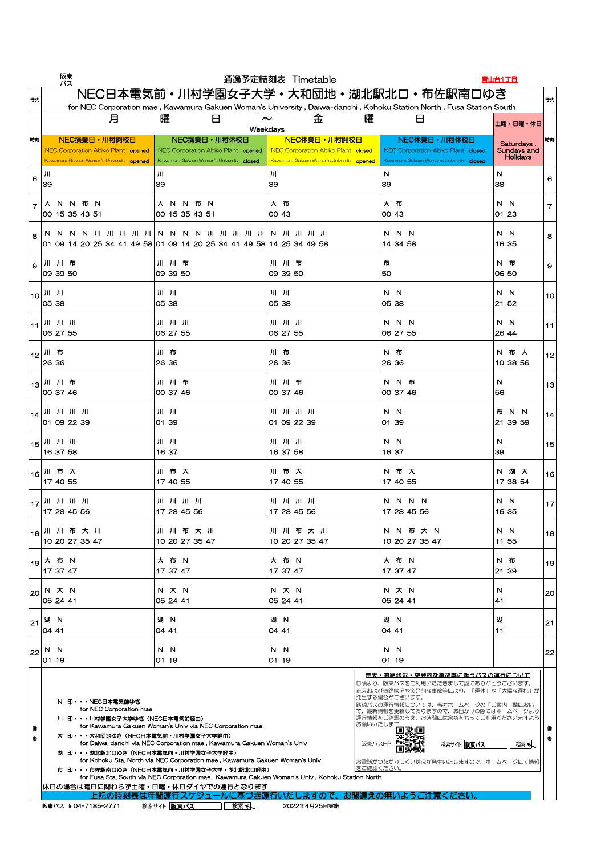|                                            | 阪東<br>バス                                                                                                |                                                                                                 | 通過予定時刻表 Timetable                                                                                                                                           |                                                                                                 | 青山台1丁目                                       |                 |
|--------------------------------------------|---------------------------------------------------------------------------------------------------------|-------------------------------------------------------------------------------------------------|-------------------------------------------------------------------------------------------------------------------------------------------------------------|-------------------------------------------------------------------------------------------------|----------------------------------------------|-----------------|
| 行先                                         |                                                                                                         |                                                                                                 | NEC日本電気前·川村学園女子大学·大和団地·湖北駅北口·布佐駅南口ゆき<br>for NEC Corporation mae, Kawamura Gakuen Woman's University, Daiwa-danchi, Kohoku Station North, Fusa Station South |                                                                                                 |                                              | 行先              |
|                                            | 月                                                                                                       | 曜                                                                                               | 曜<br>金<br>$\sim$<br>Weekdays                                                                                                                                | $\Box$                                                                                          | 土曜・日曜・休日                                     |                 |
| 時刻                                         | NEC操業日·川村開校日<br>NEC Corporation Abiko Plant opened<br>Kawamura Gakuen Woman's University opened         | NEC操業日·川村休校日<br>NEC Corporation Abiko Plant opened<br>Kawamura Gakuen Woman's University closed | NEC休業日·川村開校日<br><b>NEC Corporation Abiko Plant closed</b><br>Kawamura Gakuen Woman's University opened                                                      | NEC休業日·川村休校日<br>NEC Corporation Abiko Plant closed<br>Kawamura Gakuen Woman's University closed | Saturdays,<br>Sundays and<br><b>Holidays</b> | 時刻              |
| 6                                          | 川<br> 39                                                                                                | 川<br>39                                                                                         | $J \parallel$<br> 39                                                                                                                                        | N<br> 39                                                                                        | N<br>38                                      | 6               |
|                                            | 布<br><b>N</b><br>- N<br>-N<br>大<br>100 15 35 43 51                                                      | 布 N<br>大 N<br>N.<br>00 15 35 43 51                                                              | 大<br>布<br> OO 43                                                                                                                                            | 布<br>大<br>100 43                                                                                | N<br>$\mathbf N$<br> 01 23                   |                 |
| $\mathcal{B}_{\mathcal{C}}$                | N N N N JII JII JII JII JII N N<br>01 09 14 20 25 34 41 49 58 01 09 14 20 25 34 41 49 58 14 25 34 49 58 | N N JII JII JII JII JII N JII JII JII JII                                                       |                                                                                                                                                             | N N N<br>14 34 58                                                                               | N N<br>16 35                                 | 8               |
| $\mathsf{Q}$                               | 川 川 布<br>09 39 50                                                                                       | 川川布<br>09 39 50                                                                                 | 川川布<br>09 39 50                                                                                                                                             | 布<br> 50                                                                                        | N 布<br>06 50                                 | 9               |
| 10 <sup>1</sup>                            | $\vert$ )II $\vert$ )II<br> 05 38                                                                       | $J  $ $J  $<br>05 38                                                                            | $J  $ $J  $<br>05 38                                                                                                                                        | N N<br>05 38                                                                                    | N N<br>21 52                                 | 10              |
| $.11$ <sup><math>\overline{)}</math></sup> | $ 06\;27\;55$                                                                                           | $JII$ $JII$ $JII$<br>06 27 55                                                                   | 06 27 55                                                                                                                                                    | N N N<br>06 27 55                                                                               | N N<br> 26 44                                | 11              |
|                                            | 1 <sub>12</sub> 川布<br>$ 26 \; 36$                                                                       | 川布<br>26 36                                                                                     | 川布<br>26 36                                                                                                                                                 | N 布<br>26 36                                                                                    | N 布 大<br>10 38 56                            | 12 <sub>1</sub> |
|                                            | 1 <sub>13</sub> 川川布<br>$ 00\;37\;46$                                                                    | 川川布<br>00 37 46                                                                                 | 川川布<br>00 37 46                                                                                                                                             | N N 布<br>00 37 46                                                                               | N<br>56                                      | 13              |
|                                            | $ 01$ 09 22 39                                                                                          | $J  $ $J  $<br>01 39                                                                            | 01 09 22 39                                                                                                                                                 | N N<br>01 39                                                                                    | 布 N N<br>21 39 59                            | 14              |
| 15 <sup>1</sup>                            | $\vert$ )II $\vert$ )III $\vert$<br>$ 16\;37\;58$                                                       | $J  -J  $<br>16 37                                                                              | 16 37 58                                                                                                                                                    | N N<br>16 37                                                                                    | N<br>39                                      | 15              |
|                                            | 116川 布 大<br> 174055                                                                                     | 川布大<br>17 40 55                                                                                 | 川布大<br>17 40 55                                                                                                                                             | N 布 大<br>17 40 55                                                                               | N 湖 大<br>17 38 54                            | 16              |
|                                            | 17284556                                                                                                | 17 28 45 56                                                                                     | 17 28 45 56                                                                                                                                                 | N N N N<br>17 28 45 56                                                                          | N N<br>16 35                                 | 17              |
|                                            | 18川川布大川<br>10 20 27 35 47                                                                               | 川川布大川<br>10 20 27 35 47                                                                         | 川 川 布 大 川<br>10 20 27 35 47                                                                                                                                 | N N 布 大 N<br>10 20 27 35 47                                                                     | N N<br>11 55                                 | 18              |
|                                            | l <sub>19</sub> 大 布 N<br>$ 17\;37\;47$                                                                  | 大 布 N<br>17 37 47                                                                               | 大 布 N<br>17 37 47                                                                                                                                           | 大 布 N<br>17 37 47                                                                               | N 布<br>21 39                                 | 19              |
|                                            | $ 20 $ N $\pi$ N<br> 05 24 41                                                                           | N 大 N<br> 05 24 41                                                                              | N 大 N<br> 05 24 41                                                                                                                                          | N 大 N<br> 05 24 41                                                                              | N<br> 41                                     | 20              |

|        |               | IUJ 2441                                    | UU 2441                                                                                                                                                                                                                                                                                                                                                                                                                                                                                                                                                                   |     | IUJ 2441                    |                                  | IUJ 2441      | I <del>4</del> I                                                                                                                                                                                                                                                                                |    |
|--------|---------------|---------------------------------------------|---------------------------------------------------------------------------------------------------------------------------------------------------------------------------------------------------------------------------------------------------------------------------------------------------------------------------------------------------------------------------------------------------------------------------------------------------------------------------------------------------------------------------------------------------------------------------|-----|-----------------------------|----------------------------------|---------------|-------------------------------------------------------------------------------------------------------------------------------------------------------------------------------------------------------------------------------------------------------------------------------------------------|----|
| 21     | 湖 N<br>104 41 |                                             | 湖<br><b>N</b><br>O4 41                                                                                                                                                                                                                                                                                                                                                                                                                                                                                                                                                    |     | 湖 N<br>104 41               |                                  | 湖 N<br>O4 41  | 湖                                                                                                                                                                                                                                                                                               | 21 |
| 22     | N.            | N<br> 01 19                                 | N.<br><b>N</b><br>01 19                                                                                                                                                                                                                                                                                                                                                                                                                                                                                                                                                   |     | $N_{\odot}$<br>- N<br>01 19 |                                  | N N<br>01 19  |                                                                                                                                                                                                                                                                                                 | 22 |
| 備<br>者 |               | N 印・・・NEC日本電気前ゆき<br>for NEC Corporation mae | 川 印・・・川村学園女子大学ゆき (NEC日本電気前経由)<br>for Kawamura Gakuen Woman's Univ via NEC Corporation mae<br>大 印・・・大和団地ゆき(NEC日本電気前・川村学園女子大学経由)<br>for Daiwa-danchi via NEC Corporation mae, Kawamura Gakuen Woman's Univ<br>湖 印··· 湖北駅北口ゆき (NEC日本電気前·川村学園女子大学経由)<br>for Kohoku Sta. North via NEC Corporation mae, Kawamura Gakuen Woman's Univ<br>布 印・・・布佐駅南口ゆき(NEC日本電気前・川村学園女子大学・湖北駅北口経由)<br>for Fusa Sta. South via NEC Corporation mae, Kawamura Gakuen Woman's Univ, Kohoku Station North<br> 休日の場合は曜日に関わらず土曜・日曜・休日ダイヤでの運行となります <br>上記の時刻表は年間運行スケジュールに基づき運行いたしますので、お間違えの無いようご注意ください。 |     |                             | お願いいたします<br>阪東バスHP<br> をご確認ください。 | 発生する場合がございます。 | <u> 荒天・道路状況・突発的な事故等に伴うバスの運行について</u><br>日頃より、阪東バスをご利用いただきまして誠にありがとうございます。<br> 荒天および道路状況や突発的な事故等により、「運休」や「大幅な遅れ」が <br> 路線バスの運行情報については、当社ホームページの「ご案内」欄におい<br>て、最新情報を更新しておりますので、お出かけの際にはホームページより<br>運行情報をご確認のうえ、お時間には余裕をもってご利用くださいますよう <br>検索へ<br>検索サイト 阪東バス<br> お電話がつながりにくい状況が発生いたしますので、ホームページにて情報 | 考  |
|        |               | 阪東バス TELO4-7185-2771                        | 検索サイト 阪東バス                                                                                                                                                                                                                                                                                                                                                                                                                                                                                                                                                                | 検索へ | 2022年4月25日実施                |                                  |               |                                                                                                                                                                                                                                                                                                 |    |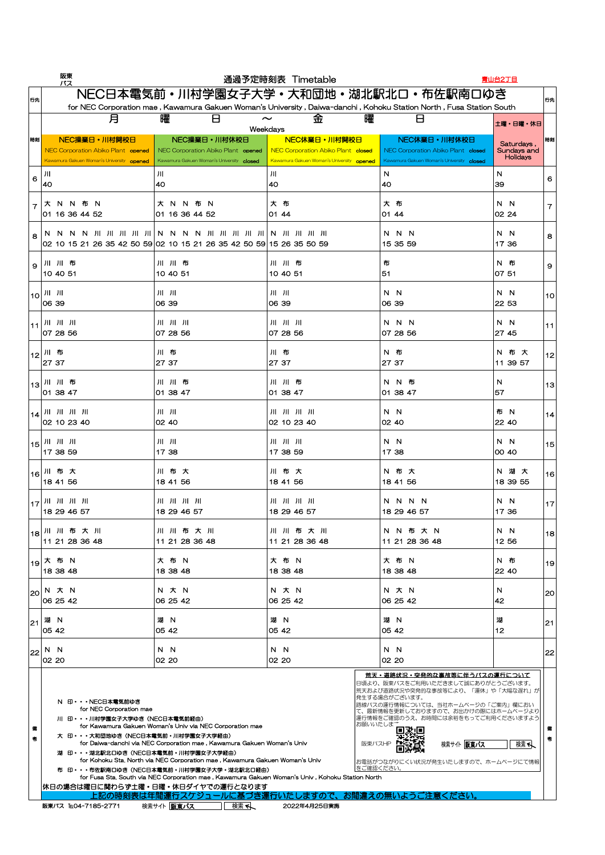|                             | 阪東<br>バス                                                                                                                                                                                                                                                                                                                                     |                                                                                                                                                             | 通過予定時刻表 Timetable                                                                                      |                                                                                                 | <u>青山台2丁目</u>                                |      |
|-----------------------------|----------------------------------------------------------------------------------------------------------------------------------------------------------------------------------------------------------------------------------------------------------------------------------------------------------------------------------------------|-------------------------------------------------------------------------------------------------------------------------------------------------------------|--------------------------------------------------------------------------------------------------------|-------------------------------------------------------------------------------------------------|----------------------------------------------|------|
| 行先                          |                                                                                                                                                                                                                                                                                                                                              | NEC日本電気前・川村学園女子大学・大和団地・湖北駅北口・布佐駅南口ゆき<br>for NEC Corporation mae, Kawamura Gakuen Woman's University, Daiwa-danchi, Kohoku Station North, Fusa Station South |                                                                                                        |                                                                                                 |                                              | 行先   |
|                             | 月                                                                                                                                                                                                                                                                                                                                            | 曜<br>┍                                                                                                                                                      | 曜<br>金<br>$\sim$<br>Weekdays                                                                           | H                                                                                               | 土曜・日曜・休日                                     |      |
| 時刻                          | NEC操業日·川村開校日<br>NEC Corporation Abiko Plant opened<br>Kawamura Gakuen Woman's University opened                                                                                                                                                                                                                                              | NEC操業日·川村休校日<br>NEC Corporation Abiko Plant opened<br>Kawamura Gakuen Woman's University closed                                                             | NEC休業日·川村開校日<br><b>NEC Corporation Abiko Plant closed</b><br>Kawamura Gakuen Woman's University opened | NEC休業日·川村休校日<br>NEC Corporation Abiko Plant closed<br>Kawamura Gakuen Woman's University closed | Saturdays,<br>Sundays and<br><b>Holidays</b> | 時刻   |
| 6                           | 川<br>14O                                                                                                                                                                                                                                                                                                                                     | 川<br>40                                                                                                                                                     | $J\parallel$<br><b>40</b>                                                                              | N<br><b>40</b>                                                                                  | N<br>39                                      | 6    |
|                             | 布<br><b>N</b><br>-N<br>-N<br>16 36 44 52                                                                                                                                                                                                                                                                                                     | 布<br>大 N<br>N.<br>-N<br>16 36 44 52<br>O <sub>1</sub>                                                                                                       | 大<br>布<br>44<br>IO1                                                                                    | 大<br>布<br>44<br>O1                                                                              | N N<br>02 24                                 |      |
| $\mathcal{S}_{\mathcal{S}}$ |                                                                                                                                                                                                                                                                                                                                              | 02 10 15 21 26 35 42 50 59   02 10 15 21 26 35 42 50 59   15 26 35 50 59                                                                                    |                                                                                                        | N N N<br>15 35 59                                                                               | N N<br>17 36                                 | 8    |
| $\mathsf{Q}$                | '川川布<br> 10 40 51                                                                                                                                                                                                                                                                                                                            | 川川布<br>10 40 51                                                                                                                                             | 川川布<br>10 40 51                                                                                        | 布<br> 51                                                                                        | N 布<br>$ 07\;51$                             | 9    |
| 10 <sup>1</sup>             | 06 39                                                                                                                                                                                                                                                                                                                                        | $J  $ $J  $<br>06 39                                                                                                                                        | $J  -J  $<br>06 39                                                                                     | N N<br>06 39                                                                                    | N N<br>22 53                                 | 10   |
|                             | $\vert$ )II $\vert$ )II $\vert$<br>$ 07 \t28 \t56$                                                                                                                                                                                                                                                                                           | $J  -J  -J  $<br>07 28 56                                                                                                                                   | $J  $ $J  $ $J  $<br>07 28 56                                                                          | N N N<br>07 28 56                                                                               | N N<br>27 45                                 | 11   |
| 12                          | 川 布<br>$ 27 \t37$                                                                                                                                                                                                                                                                                                                            | 川布<br>27 37                                                                                                                                                 | 川布<br>27 37                                                                                            | N 布<br>27 37                                                                                    | N 布 大<br>11 39 57                            | $12$ |
|                             | 113川川布<br>$ 01 \t38 \t47$                                                                                                                                                                                                                                                                                                                    | 川川布<br>$ 01 \, 38 \, 47$                                                                                                                                    | 川川布<br>01 38 47                                                                                        | N N 布<br>$ 01 \, 38 \, 47$                                                                      | N<br>57                                      | 13   |
|                             | 02 10 23 40                                                                                                                                                                                                                                                                                                                                  | $J  $ $J  $<br>O2 40                                                                                                                                        | 02 10 23 40                                                                                            | N N<br>02 40                                                                                    | 布 N<br>22 40                                 | 14   |
| 15 <sup>1</sup>             | $\vert$ JII $\vert$ JII JII<br>$ 17 \t38 \t59$                                                                                                                                                                                                                                                                                               | $J  $ $J  $<br>17 38                                                                                                                                        | $J  -J  -J  $<br>17 38 59                                                                              | N N<br>17 38                                                                                    | N N<br>00 40                                 | 15   |
|                             | 116川 布 大<br> 184156                                                                                                                                                                                                                                                                                                                          | 川布大<br>18 41 56                                                                                                                                             | 川布大<br>18 41 56                                                                                        | N 布 大<br>18 41 56                                                                               | N 湖 大<br>18 39 55                            | 16   |
|                             | $\mathbb{F}_1$ $\mathbb{F}_2$   $\mathbb{F}_2$   $\mathbb{F}_1$   $\mathbb{F}_2$   $\mathbb{F}_1$   $\mathbb{F}_2$   $\mathbb{F}_2$   $\mathbb{F}_2$   $\mathbb{F}_2$   $\mathbb{F}_2$   $\mathbb{F}_2$   $\mathbb{F}_2$   $\mathbb{F}_2$   $\mathbb{F}_2$   $\mathbb{F}_2$   $\mathbb{F}_2$   $\mathbb{F}_2$   $\mathbb{F}_$<br>18 29 46 57 | 18 29 46 57                                                                                                                                                 | 18 29 46 57                                                                                            | N N N N<br>18 29 46 57                                                                          | N N<br>17 36                                 | 17   |
|                             | 18川川布大川<br>11 21 28 36 48                                                                                                                                                                                                                                                                                                                    | 川川布大川<br>11 21 28 36 48                                                                                                                                     | 川川布大川<br>11 21 28 36 48                                                                                | N N 布 大 N<br>11 21 28 36 48                                                                     | N N<br>12 56                                 | 18   |
|                             | 1 <sub>19</sub> 大 布 N<br>18 38 48                                                                                                                                                                                                                                                                                                            | 大 布 N<br>18 38 48                                                                                                                                           | 大 布 N<br>18 38 48                                                                                      | 大 布 N<br>18 38 48                                                                               | N 布<br>22 40                                 | 19   |
|                             | $ _{20} $ N $\star$ N<br> 06 25 42                                                                                                                                                                                                                                                                                                           | N 大 N<br>06 25 42                                                                                                                                           | N 大 N<br>06 25 42                                                                                      | N 大 N<br>06 25 42                                                                               | N<br> 42                                     | 20   |

| 21     | 湖<br><b>N</b><br>105 42                                                                                                                                                                         | 湖<br>$\mathbb N$<br>05 42                                                                                                                                                                                                                                                                                                                                                                                            | 湖<br>- N<br>05 42                | 湖 N<br>105 42                                                                                                                                                                                                                                                                                     | 湖<br>12 | 21            |
|--------|-------------------------------------------------------------------------------------------------------------------------------------------------------------------------------------------------|----------------------------------------------------------------------------------------------------------------------------------------------------------------------------------------------------------------------------------------------------------------------------------------------------------------------------------------------------------------------------------------------------------------------|----------------------------------|---------------------------------------------------------------------------------------------------------------------------------------------------------------------------------------------------------------------------------------------------------------------------------------------------|---------|---------------|
| 22     | N<br>- N<br>02 20                                                                                                                                                                               | N N<br>02 20                                                                                                                                                                                                                                                                                                                                                                                                         | N N<br>02 20                     | N N<br>02 20                                                                                                                                                                                                                                                                                      |         | $^{\prime}22$ |
| 備<br>考 | N 印・・・NEC日本電気前ゆき<br>for NEC Corporation mae<br>川 印・・・川村学園女子大学ゆき (NEC日本電気前経由)<br>大 印・・・大和団地ゆき (NEC日本電気前・川村学園女子大学経由)<br>湖 印···湖北駅北口ゆき (NEC日本電気前・川村学園女子大学経由)<br> 休日の場合は曜日に関わらず土曜・日曜・休日ダイヤでの運行となります | for Kawamura Gakuen Woman's Univ via NEC Corporation mae<br>for Daiwa-danchi via NEC Corporation mae, Kawamura Gakuen Woman's Univ<br>for Kohoku Sta. North via NEC Corporation mae, Kawamura Gakuen Woman's Univ<br>布 印···布佐駅南口ゆき(NEC日本電気前・川村学園女子大学・湖北駅北口経由)<br>for Fusa Sta. South via NEC Corporation mae, Kawamura Gakuen Woman's Univ, Kohoku Station North<br>上記の時刻表は年間運行スケジュールに基づき運行いたしますので、お間違えの無いようご注意ください。 | お願いいたしまき<br>阪東バスHP<br> をご確認ください。 | 荒天・道路状況・突発的な事故等に伴うバスの運行について<br>日頃より、阪東バスをご利用いただきまして誠にありがとうございます。<br>荒天および道路状況や突発的な事故等により、「運休」や「大幅な遅れ」が<br> 発生する場合がございます。<br> 路線バスの運行情報については、当社ホームページの「ご案内」欄におい<br> て、最新情報を更新しておりますので、お出かけの際にはホームページより <br>運行情報をご確認のうえ、お時間には余裕をもってご利用くださいますよう <br>検索サイト 阪東バス<br>お電話がつながりにくい状況が発生いたしますので、ホームページにて情報 | 検索      | 考             |
|        | 阪東バス TEL04-7185-2771                                                                                                                                                                            | 検索へ<br>検索サイト 阪東バス                                                                                                                                                                                                                                                                                                                                                                                                    | 2022年4月25日実施                     |                                                                                                                                                                                                                                                                                                   |         |               |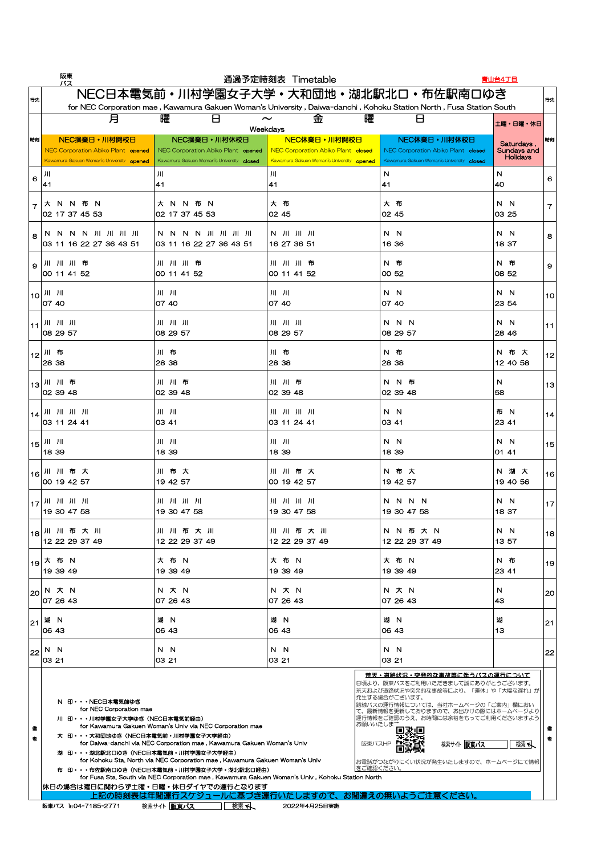|                    | 阪東<br>バス                                                                                        |                                                                                                                                                             | 通過予定時刻表 Timetable                                                                               |                                                                                                 | 青山台4丁目                                       |    |
|--------------------|-------------------------------------------------------------------------------------------------|-------------------------------------------------------------------------------------------------------------------------------------------------------------|-------------------------------------------------------------------------------------------------|-------------------------------------------------------------------------------------------------|----------------------------------------------|----|
| 行先                 |                                                                                                 | NEC日本電気前・川村学園女子大学・大和団地・湖北駅北口・布佐駅南口ゆき<br>for NEC Corporation mae, Kawamura Gakuen Woman's University, Daiwa-danchi, Kohoku Station North, Fusa Station South |                                                                                                 |                                                                                                 |                                              | 行先 |
|                    | 月                                                                                               | 曜<br>H                                                                                                                                                      | 曜<br>金<br>$\boldsymbol{\sim}$<br>Weekdays                                                       | Ь                                                                                               | 土曜・日曜・休日                                     |    |
| 時刻                 | NEC操業日·川村開校日<br>NEC Corporation Abiko Plant opened<br>Kawamura Gakuen Woman's University opened | NEC操業日·川村休校日<br>NEC Corporation Abiko Plant opened<br>Kawamura Gakuen Woman's University closed                                                             | NEC休業日·川村開校日<br>NEC Corporation Abiko Plant closed<br>Kawamura Gakuen Woman's University opened | NEC休業日·川村休校日<br>NEC Corporation Abiko Plant closed<br>Kawamura Gakuen Woman's University closed | Saturdays,<br>Sundays and<br><b>Holidays</b> | 時刻 |
| 6                  | 川<br> 41                                                                                        | Ш<br>$\vert 41$                                                                                                                                             | JII<br>41                                                                                       | N<br> 41                                                                                        | N<br> 40                                     | 6  |
|                    | 布<br>大 N<br>N.<br>- N<br>102 17 37 45 53                                                        | 大 N N 布 N<br>02 17 37 45 53                                                                                                                                 | 大 布<br>02 45                                                                                    | 大布<br>102 45                                                                                    | N.<br>N <sub>1</sub><br>03 25                |    |
| 8                  | N N N N JII JII JII JII<br>03 11 16 22 27 36 43 51                                              | N N N N JII JII JII JII<br>03 11 16 22 27 36 43 51                                                                                                          | N JII JII JII<br>16 27 36 51                                                                    | N N<br>16 36                                                                                    | N N<br>18 37                                 | 8  |
| 9                  | 川川川布<br> 00114152                                                                               | 川川川布<br>00 11 41 52                                                                                                                                         | 川川川布<br>00 11 41 52                                                                             | N 布<br>00 52                                                                                    | N 布<br>08 52                                 | 9  |
|                    | $\vert 10 \vert$ JII JII<br> 07 40                                                              | $J  -J  $<br>07 40                                                                                                                                          | $J  $ $J  $<br>07 40                                                                            | N N<br>07 40                                                                                    | N N<br>23 54                                 | 10 |
|                    | $JII$ $JII$ $JII$<br>08 29 57                                                                   | $JII$ $JII$ $JII$<br>08 29 57                                                                                                                               | $JII$ $JII$ $JII$<br>08 29 57                                                                   | N N N<br>08 29 57                                                                               | N N<br> 28 46                                | 11 |
|                    | 1 <sub>12</sub> 川布<br>28 38                                                                     | 川布<br>28 38                                                                                                                                                 | 川布<br>28 38                                                                                     | N 布<br>28 38                                                                                    | N 布 大<br>12 40 58                            | 12 |
|                    | 1 <sub>13</sub> 川川布<br>02 39 48                                                                 | 川川布<br>02 39 48                                                                                                                                             | 川川布<br>02 39 48                                                                                 | N N 布<br>02 39 48                                                                               | N<br>58                                      | 13 |
|                    | $ 14 $ $  1  $ $  1  $ $  1  $<br> 03112441                                                     | $J  -J  $<br>03 41                                                                                                                                          | 03 11 24 41                                                                                     | N N<br> 03 41                                                                                   | 布 N<br>23 41                                 | 14 |
| $\vert$ 15 $\vert$ | 1839                                                                                            | $J   - J  $<br>18 39                                                                                                                                        | $J  $ $J  $<br>18 39                                                                            | N N<br>18 39                                                                                    | N N<br> 01 41                                | 15 |
|                    | 116川川布大<br> 00194257                                                                            | 川布大<br>19 42 57                                                                                                                                             | 川川布大<br>00 19 42 57                                                                             | N 布 大<br>19 42 57                                                                               | N 湖 大<br>19 40 56                            | 16 |
|                    | $\left  \frac{1}{17} \right $ JII JII JII<br>$ 19\,30\,47\,58$                                  | 19 30 47 58                                                                                                                                                 | 19 30 47 58                                                                                     | N N N N<br>19 30 47 58                                                                          | N N<br>18 37                                 | 17 |
|                    | 118川川布大川<br> 12 22 29 37 49                                                                     | 川川布大川<br>12 22 29 37 49                                                                                                                                     | 川川布大川<br>12 22 29 37 49                                                                         | N N 布 大 N<br>12 22 29 37 49                                                                     | N N<br>13 57                                 | 18 |
|                    | l <sub>19</sub> 大 布 N<br>$ 19\,39\,49$                                                          | 大 布 N<br>19 39 49                                                                                                                                           | 大 布 N<br>19 39 49                                                                               | 大 布 N<br>19 39 49                                                                               | N 布<br>23 41                                 | 19 |
| 20                 | N 大 N<br>$ 07 \t26 \t43$                                                                        | N 大 N<br>07 26 43                                                                                                                                           | N 大 N<br>07 26 43                                                                               | N 大 N<br>07 26 43                                                                               | N<br> 43                                     | 20 |

|        | IUT ZU 40                                                                                                                                                                                      | UI 20 40                                                                                                                                                                                                                                                                                                                                                                                                             | IUT ZU 40         | IUT ZU 40                                                                                                                                                                                                                                                                                                                          | I 40.               |    |
|--------|------------------------------------------------------------------------------------------------------------------------------------------------------------------------------------------------|----------------------------------------------------------------------------------------------------------------------------------------------------------------------------------------------------------------------------------------------------------------------------------------------------------------------------------------------------------------------------------------------------------------------|-------------------|------------------------------------------------------------------------------------------------------------------------------------------------------------------------------------------------------------------------------------------------------------------------------------------------------------------------------------|---------------------|----|
| 21     | 湖<br><b>N</b><br>106 43                                                                                                                                                                        | 湖<br><b>N</b><br>06 43                                                                                                                                                                                                                                                                                                                                                                                               | 湖<br>- N<br>06 43 | 湖 N<br>06 43                                                                                                                                                                                                                                                                                                                       | 湖<br>13             | 21 |
| 22     | N<br><b>N</b><br>$ 03\;21$                                                                                                                                                                     | N N<br>03 21                                                                                                                                                                                                                                                                                                                                                                                                         | N N<br>103 21     | N N<br>IO3 21                                                                                                                                                                                                                                                                                                                      |                     | 22 |
| 備<br>考 | N 印・・・NEC日本電気前ゆき<br>for NEC Corporation mae<br>川 印・・・川村学園女子大学ゆき(NEC日本電気前経由)<br>大 印・・・大和団地ゆき(NEC日本電気前・川村学園女子大学経由)<br>湖 印··· 湖北駅北口ゆき (NEC日本電気前・川村学園女子大学経由)<br> 休日の場合は曜日に関わらず土曜・日曜・休日ダイヤでの運行となります | for Kawamura Gakuen Woman's Univ via NEC Corporation mae<br>for Daiwa-danchi via NEC Corporation mae, Kawamura Gakuen Woman's Univ<br>for Kohoku Sta. North via NEC Corporation mae, Kawamura Gakuen Woman's Univ<br>布 印・・・布佐駅南口ゆき(NEC日本電気前・川村学園女子大学・湖北駅北口経由)<br>for Fusa Sta, South via NEC Corporation mae, Kawamura Gakuen Woman's Univ, Kohoku Station North<br>上記の時刻表は年間運行スケジュールに基づき運行いたしますので、お間違えの無いようご注意ください。 |                   | <u> 荒天・道路状況・突発的な事故等に伴うバスの運行について</u><br>日頃より、阪東バスをご利用いただきまして誠にありがとうございます。<br> 荒天および道路状況や突発的な事故等により、「運休」や「大幅な遅れ」が <br> 発生する場合がございます。<br> 路線バスの運行情報については、当社ホームページの「ご案内」欄におい<br>て、最新情報を更新しておりますので、お出かけの際にはホームページより<br> 運行情報をご確認のうえ、お時間には余裕をもってご利用くださいますよう <br>お願いいたしまさ<br>阪東バスHP<br> お電話がつながりにくい状況が発生いたしますので、ホームページにて情報 <br> をご確認ください。 | 検索サイト   阪東バス<br>検索へ |    |
|        | 阪東バス TELO4-7185-2771                                                                                                                                                                           | 検索サイト 阪東バス<br>検索へ                                                                                                                                                                                                                                                                                                                                                                                                    | 2022年4月25日実施      |                                                                                                                                                                                                                                                                                                                                    |                     |    |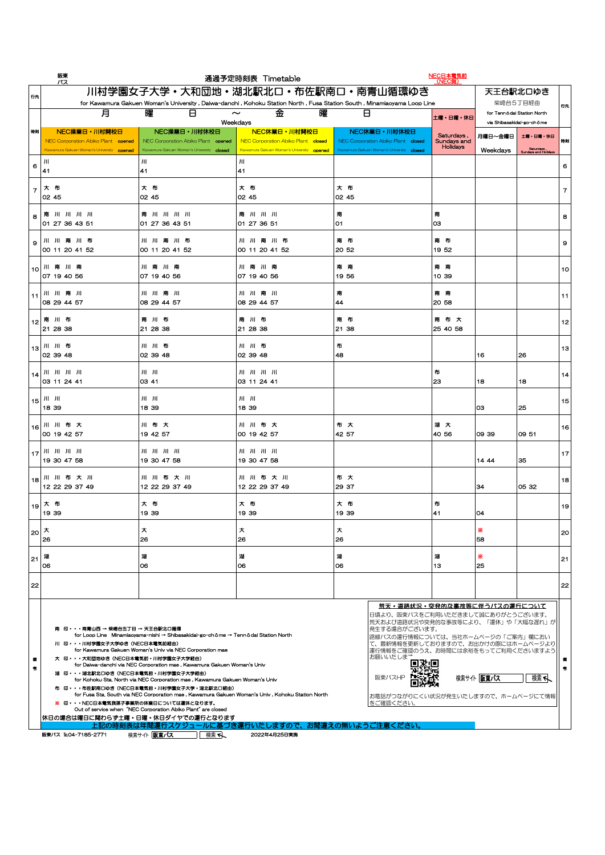| 阪東<br>バス                                                                                                                                                                                                                                                                                                                                                                                                                                                                                                                                                                                                                                                                                                                                                                                                                                                                                                                                                                                                                                                                                                                   |                                                                                                 | 通過予定時刻表 Timetable                                                                                                                                      |                                                                                                 | NEC日本電気前<br>(NEC側)                    |                     |                                                                     |                    |
|----------------------------------------------------------------------------------------------------------------------------------------------------------------------------------------------------------------------------------------------------------------------------------------------------------------------------------------------------------------------------------------------------------------------------------------------------------------------------------------------------------------------------------------------------------------------------------------------------------------------------------------------------------------------------------------------------------------------------------------------------------------------------------------------------------------------------------------------------------------------------------------------------------------------------------------------------------------------------------------------------------------------------------------------------------------------------------------------------------------------------|-------------------------------------------------------------------------------------------------|--------------------------------------------------------------------------------------------------------------------------------------------------------|-------------------------------------------------------------------------------------------------|---------------------------------------|---------------------|---------------------------------------------------------------------|--------------------|
| 川村学園女子大学・大和団地・湖北駅北口・布佐駅南口・南青山循環ゆき<br>天王台駅北口ゆき<br>行先                                                                                                                                                                                                                                                                                                                                                                                                                                                                                                                                                                                                                                                                                                                                                                                                                                                                                                                                                                                                                                                                        |                                                                                                 |                                                                                                                                                        |                                                                                                 |                                       |                     |                                                                     |                    |
| 月                                                                                                                                                                                                                                                                                                                                                                                                                                                                                                                                                                                                                                                                                                                                                                                                                                                                                                                                                                                                                                                                                                                          | 曜<br>$\boxminus$                                                                                | for Kawamura Gakuen Woman's University, Daiwa-danchi, Kohoku Station North, Fusa Station South, Minamiaoyama Loop Line<br>曜<br>金<br>$\sim$<br>Weekdays | $\Box$                                                                                          | 土曜・日曜・休日                              |                     | 柴崎台5丁目経由<br>for Tennōdai Station North<br>via Shibasakidai-go-chōme | 行先                 |
| NEC操業日·川村開校日<br>時刻<br>NEC Corporation Abiko Plant opened<br>Kawamura Gakuen Woman's University opened                                                                                                                                                                                                                                                                                                                                                                                                                                                                                                                                                                                                                                                                                                                                                                                                                                                                                                                                                                                                                      | NEC操業日·川村休校日<br>NEC Corporation Abiko Plant opened<br>Kawamura Gakuen Woman's University closed | NEC休業日·川村開校日<br>NEC Corporation Abiko Plant closed<br>Kawamura Gakuen Woman's University opened                                                        | NEC休業日·川村休校日<br>NEC Corporation Abiko Plant closed<br>Kawamura Gakuen Woman's University closed | Saturdays,<br>Sundays and<br>Holidays | 月曜日~金曜日<br>Weekdays | 土曜・日曜・休日<br>Saturdays,<br><b>Sundays and Holidays</b>               | 時刻                 |
| $J$ l<br>6<br>$ 4^{\circ}$                                                                                                                                                                                                                                                                                                                                                                                                                                                                                                                                                                                                                                                                                                                                                                                                                                                                                                                                                                                                                                                                                                 | $J \parallel$<br>$\mid$ 41                                                                      | 41                                                                                                                                                     |                                                                                                 |                                       |                     |                                                                     | 6                  |
| 大布<br> 02 45                                                                                                                                                                                                                                                                                                                                                                                                                                                                                                                                                                                                                                                                                                                                                                                                                                                                                                                                                                                                                                                                                                               | 大<br>布<br> 02 45                                                                                | 大 布<br>02 45                                                                                                                                           | 大布<br> 02 45                                                                                    |                                       |                     |                                                                     |                    |
| 18 南川川川川川<br>01 27 36 43 51                                                                                                                                                                                                                                                                                                                                                                                                                                                                                                                                                                                                                                                                                                                                                                                                                                                                                                                                                                                                                                                                                                | 南川川川川川<br>01 27 36 43 51                                                                        | 南川川川<br>01 27 36 51                                                                                                                                    | 甬<br> O1                                                                                        | 03                                    |                     |                                                                     | 8                  |
| 川 川 南 川 布<br>$\overline{9}$<br>$\big 00\big 11\big 20\big 41\big 52\big $                                                                                                                                                                                                                                                                                                                                                                                                                                                                                                                                                                                                                                                                                                                                                                                                                                                                                                                                                                                                                                                  | 川川南川布<br>$\big 00\big 11\big 20\big 41\big 52\big $                                             | 川川南川布<br>00 11 20 41 52                                                                                                                                | 南 布<br>$ 20\>52 $                                                                               | 南布<br> 1952                           |                     |                                                                     | 9                  |
| 110 川 南 川 南<br>$ 07 \t19 \t40 \t56$                                                                                                                                                                                                                                                                                                                                                                                                                                                                                                                                                                                                                                                                                                                                                                                                                                                                                                                                                                                                                                                                                        | 川南川南<br>$ 07 \t19 \t40 \t56$                                                                    | 川南川南<br>07 19 40 56                                                                                                                                    | 南南<br>$ 19\,56 $                                                                                | 南南南<br> 10, 39                        |                     |                                                                     | 10                 |
| 「11 川 川 南 川<br>$\big 08\ 29\ 44\ 57$                                                                                                                                                                                                                                                                                                                                                                                                                                                                                                                                                                                                                                                                                                                                                                                                                                                                                                                                                                                                                                                                                       | 川 川 南 川<br>08 29 44 57                                                                          | 川川南川<br>08 29 44 57                                                                                                                                    | 南<br> 44                                                                                        | 南 南<br> 20, 58                        |                     |                                                                     | 11                 |
| l <sub>12</sub>   南 川 布<br>21 28 38                                                                                                                                                                                                                                                                                                                                                                                                                                                                                                                                                                                                                                                                                                                                                                                                                                                                                                                                                                                                                                                                                        | 南 川 布<br>21 28 38                                                                               | 南川布<br>21 28 38                                                                                                                                        | 南布<br> 21 38                                                                                    | 南布大<br>25 40 58                       |                     |                                                                     | $12$               |
| 1 <sub>13</sub> 川 川 布<br>$ 02 \t39 \t48$                                                                                                                                                                                                                                                                                                                                                                                                                                                                                                                                                                                                                                                                                                                                                                                                                                                                                                                                                                                                                                                                                   | 川川布<br>$ 02 \t39 \t48$                                                                          | 川川布<br>02 39 48                                                                                                                                        | 布<br> 48                                                                                        |                                       | 16                  | 26                                                                  | 13                 |
| $\begin{bmatrix} 1 & 4 & 4 & 4 \end{bmatrix}$ $\begin{bmatrix} 1 & 1 & 1 & 1 & 1 \end{bmatrix}$<br>$\big 03\ 11\ 24\ 41$                                                                                                                                                                                                                                                                                                                                                                                                                                                                                                                                                                                                                                                                                                                                                                                                                                                                                                                                                                                                   | $J   - J  $<br> 03 41                                                                           | 川川川川川<br>03 11 24 41                                                                                                                                   |                                                                                                 | 布<br>23                               | 18                  | 18                                                                  | 14                 |
| $15$ $  $ $  $ $  $<br> 1839                                                                                                                                                                                                                                                                                                                                                                                                                                                                                                                                                                                                                                                                                                                                                                                                                                                                                                                                                                                                                                                                                               | $J  $ $J  $<br>18 39                                                                            | $J  $ $J  $<br>18 39                                                                                                                                   |                                                                                                 |                                       | 03                  | 25                                                                  | 15                 |
| 116川川布大<br>$\big 00\big 19\big 42\big 57$                                                                                                                                                                                                                                                                                                                                                                                                                                                                                                                                                                                                                                                                                                                                                                                                                                                                                                                                                                                                                                                                                  | 川布大<br>19 42 57                                                                                 | 川川布大<br>00 19 42 57                                                                                                                                    | 布大<br>$ 42\;57 $                                                                                | 湖 大<br>40 56                          | 09 39               | $ 09\,51$                                                           | 16                 |
| $\lfloor 17 \rfloor$ JII JII JII<br>19 30 47 58                                                                                                                                                                                                                                                                                                                                                                                                                                                                                                                                                                                                                                                                                                                                                                                                                                                                                                                                                                                                                                                                            | 19 30 47 58                                                                                     | 19 30 47 58                                                                                                                                            |                                                                                                 |                                       | 14 44               | 35                                                                  | $\vert$ 17 $\vert$ |
| 18川川布大川<br>$12$ 22 29 37 49                                                                                                                                                                                                                                                                                                                                                                                                                                                                                                                                                                                                                                                                                                                                                                                                                                                                                                                                                                                                                                                                                                | 川川布大川<br>12 22 29 37 49                                                                         | 川川布大川<br>12 22 29 37 49                                                                                                                                | 布 大<br>29 37                                                                                    |                                       | 134                 | 05 32                                                               | 18                 |
| l <sub>19</sub>   大 布<br>$ 19\,39$                                                                                                                                                                                                                                                                                                                                                                                                                                                                                                                                                                                                                                                                                                                                                                                                                                                                                                                                                                                                                                                                                         | 大布<br>19 39                                                                                     | 大布<br>19 39                                                                                                                                            | 大布<br>19 39                                                                                     | 布<br> 41                              | 04                  |                                                                     | 19                 |
| $^{\prime}$ 20 $\vert$ $\star$<br> 26                                                                                                                                                                                                                                                                                                                                                                                                                                                                                                                                                                                                                                                                                                                                                                                                                                                                                                                                                                                                                                                                                      | 大<br>26                                                                                         | 26                                                                                                                                                     | 26                                                                                              |                                       | $\frac{1}{2}$<br>58 |                                                                     | 20                 |
| 湖<br>21<br> 06                                                                                                                                                                                                                                                                                                                                                                                                                                                                                                                                                                                                                                                                                                                                                                                                                                                                                                                                                                                                                                                                                                             | 06                                                                                              | 06                                                                                                                                                     | 湖<br> 06                                                                                        | 13                                    | ☀<br> 25            |                                                                     | 21                 |
| 22                                                                                                                                                                                                                                                                                                                                                                                                                                                                                                                                                                                                                                                                                                                                                                                                                                                                                                                                                                                                                                                                                                                         |                                                                                                 |                                                                                                                                                        |                                                                                                 |                                       |                     |                                                                     | 22                 |
| <u> 荒天・道路状況・突発的な事故等に伴うバスの運行について</u><br> 日頃より、阪東バスをご利用いただきまして誠にありがとうございます。<br> 荒天および道路状況や突発的な事故等により、「運休」や「大幅な遅れ」が  <br>南 印•••南青山西 → 柴崎台五丁目 → 天王台駅北口循環<br> 発生する場合がございます。<br>for Loop Line Minamiaoyama-nishi $\rightarrow$ Shibasakidai-go-chōme $\rightarrow$ Tennōdai Station North<br> 路線バスの運行情報については、当社ホームページの「ご案内」欄におい<br>て、最新情報を更新しておりますので、お出かけの際にはホームページより  <br>川 印・・・川村学園女子大学ゆき (NEC日本電気前経由)<br>for Kawamura Gakuen Woman's Univ via NEC Corporation mae<br> 運行情報をご確認のうえ、お時間には余裕をもってご利用くださいますよう  <br> お願いいたしま <sup>++</sup><br>大 印・・・大和団地ゆき(NEC日本電気前・川村学園女子大学経由)<br>for Daiwa-danchi via NEC Corporation mae, Kawamura Gakuen Woman's Univ<br>湖 印···湖北駅北口ゆき (NEC日本電気前・川村学園女子大学経由)<br>検索サイト 阪東バス<br>検索へ<br>阪東バスHP<br>for Kohoku Sta. North via NEC Corporation mae, Kawamura Gakuen Woman's Univ<br>布 印···布佐駅南口ゆき (NEC日本電気前・川村学園女子大学・湖北駅北口経由)<br>for Fusa Sta. South via NEC Corporation mae, Kawamura Gakuen Woman's Univ, Kohoku Station North<br> お電話がつながりにくい状況が発生いたしますので、ホームページにて情報  <br><b>をご確認ください。</b><br>※ 印・・・NEC日本電気我孫子事業所の休業日については運休となります。<br>Out of service when "NEC Corporation Abiko Plant" are closed |                                                                                                 |                                                                                                                                                        |                                                                                                 |                                       |                     |                                                                     |                    |
|                                                                                                                                                                                                                                                                                                                                                                                                                                                                                                                                                                                                                                                                                                                                                                                                                                                                                                                                                                                                                                                                                                                            | 休日の場合は曜日に関わらず土曜・日曜・休日ダイヤでの運行となります                                                               | 上記の時刻表は年間運行スケジュールに基づき運行いたしますので、お間違えの無いようご注意ください。                                                                                                       |                                                                                                 |                                       |                     |                                                                     |                    |
| 阪東バス TELO4-7185-2771                                                                                                                                                                                                                                                                                                                                                                                                                                                                                                                                                                                                                                                                                                                                                                                                                                                                                                                                                                                                                                                                                                       | 検索へ<br>検索サイト   阪東バス                                                                             | 2022年4月25日実施                                                                                                                                           |                                                                                                 |                                       |                     |                                                                     |                    |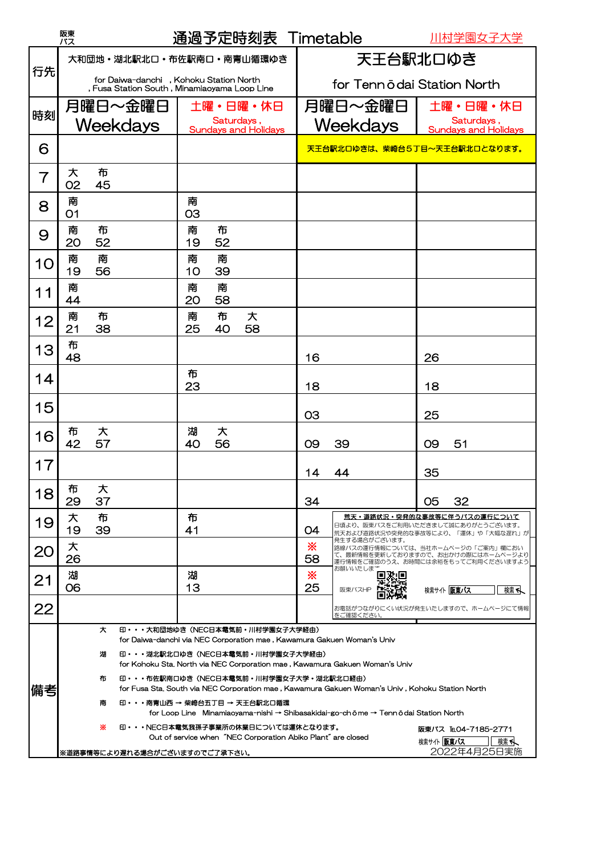|                                                                                                | 阪東<br>バス                                                                                                           |                                                                                                                                                                                                                          |                               |            | 通過予定時刻表 Timetable           |                                   |                      | 川村学園女子大学                                                                                                       |
|------------------------------------------------------------------------------------------------|--------------------------------------------------------------------------------------------------------------------|--------------------------------------------------------------------------------------------------------------------------------------------------------------------------------------------------------------------------|-------------------------------|------------|-----------------------------|-----------------------------------|----------------------|----------------------------------------------------------------------------------------------------------------|
| 行先                                                                                             | 大和団地・湖北駅北口・布佐駅南口・南青山循環ゆき<br>for Daiwa-danchi, Kohoku Station North<br>, Fusa Station South, Minamiaoyama Loop Line |                                                                                                                                                                                                                          |                               | 天王台駅北口ゆき   |                             |                                   |                      |                                                                                                                |
|                                                                                                |                                                                                                                    |                                                                                                                                                                                                                          |                               |            | for Tennödai Station North  |                                   |                      |                                                                                                                |
| 時刻                                                                                             |                                                                                                                    | 月曜日〜金曜日                                                                                                                                                                                                                  |                               |            | 土曜・日曜・休日                    |                                   | 月曜日〜金曜日              | 土曜・日曜・休日                                                                                                       |
|                                                                                                |                                                                                                                    | Weekdays                                                                                                                                                                                                                 |                               | Saturdays, | <b>Sundays and Holidays</b> |                                   | Weekdays             | Saturdays,<br><b>Sundays and Holidays</b>                                                                      |
| 6                                                                                              |                                                                                                                    |                                                                                                                                                                                                                          | 天王台駅北口ゆきは、柴崎台5丁目~天王台駅北口となります。 |            |                             |                                   |                      |                                                                                                                |
| $\overline{7}$                                                                                 | 布<br>大<br>02<br>45                                                                                                 |                                                                                                                                                                                                                          |                               |            |                             |                                   |                      |                                                                                                                |
| 8                                                                                              | 南<br>O <sub>1</sub>                                                                                                |                                                                                                                                                                                                                          | 南<br>O3                       |            |                             |                                   |                      |                                                                                                                |
| 9                                                                                              | 南<br>布<br>20<br>52                                                                                                 |                                                                                                                                                                                                                          | 南<br>19                       | 布<br>52    |                             |                                   |                      |                                                                                                                |
| 10                                                                                             | 南<br>南<br>19<br>56                                                                                                 |                                                                                                                                                                                                                          | 南<br>10                       | 南<br>39    |                             |                                   |                      |                                                                                                                |
| 11                                                                                             | 南<br>44                                                                                                            |                                                                                                                                                                                                                          | 南<br>20                       | 南<br>58    |                             |                                   |                      |                                                                                                                |
| 12                                                                                             | 南<br>布<br>21<br>38                                                                                                 |                                                                                                                                                                                                                          | 南<br>25                       | 布<br>40    | 大<br>58                     |                                   |                      |                                                                                                                |
| 13                                                                                             | 布<br>48                                                                                                            |                                                                                                                                                                                                                          |                               |            |                             | 16                                |                      | 26                                                                                                             |
| 14                                                                                             |                                                                                                                    |                                                                                                                                                                                                                          | 布<br>23                       |            |                             | 18                                |                      | 18                                                                                                             |
| 15                                                                                             |                                                                                                                    |                                                                                                                                                                                                                          |                               |            |                             | O <sub>3</sub>                    |                      | 25                                                                                                             |
| 16                                                                                             | 大<br>布<br>42<br>57                                                                                                 |                                                                                                                                                                                                                          | 湖<br>40                       | 大<br>56    |                             | 09                                | 39                   | 51<br>O9                                                                                                       |
| 17                                                                                             |                                                                                                                    |                                                                                                                                                                                                                          |                               |            |                             | 14                                | 44                   | 35                                                                                                             |
| 18                                                                                             | 布<br>大<br>29<br>37                                                                                                 |                                                                                                                                                                                                                          |                               |            |                             | 34                                |                      | 32<br>05                                                                                                       |
| 19                                                                                             | 大<br>布<br>19<br>39                                                                                                 |                                                                                                                                                                                                                          | 布<br>41                       |            |                             | O4                                |                      | <u> 荒天・道路状況・突発的な事故等に伴うバスの運行について</u><br>日頃より、阪東バスをご利用いただきまして誠にありがとうございます。                                       |
| 20                                                                                             | 大<br>26                                                                                                            |                                                                                                                                                                                                                          |                               |            |                             | ⋇<br>58                           | 発生する場合がございます。        | 荒天および道路状況や突発的な事故等により、「運休」や「大幅な遅れ」が <br>路線バスの運行情報については、当社ホームページの「ご案内」欄におい<br>て、最新情報を更新しておりますので、お出かけの際にはホームページより |
| 21                                                                                             | 湖<br>06                                                                                                            |                                                                                                                                                                                                                          | 湖<br>13                       |            |                             | ⋇<br>25                           | お願いいたしま<br>阪東バスHP    | 運行情報をご確認のうえ、お時間には余裕をもってご利用くださいますよう<br>検索サイト阪東バス<br>検索へ                                                         |
| 22                                                                                             |                                                                                                                    |                                                                                                                                                                                                                          |                               |            |                             |                                   | をご確認ください。            | お電話がつながりにくい状況が発生いたしますので、ホームページにて情報                                                                             |
|                                                                                                | 印・・・大和団地ゆき(NEC日本電気前・川村学園女子大学経由)<br>大                                                                               |                                                                                                                                                                                                                          |                               |            |                             |                                   |                      |                                                                                                                |
|                                                                                                | for Daiwa-danchi via NEC Corporation mae, Kawamura Gakuen Woman's Univ<br>印・・・湖北駅北口ゆき (NEC日本電気前・川村学園女子大学経由)<br>湖   |                                                                                                                                                                                                                          |                               |            |                             |                                   |                      |                                                                                                                |
| 備考                                                                                             | 布                                                                                                                  | for Kohoku Sta, North via NEC Corporation mae, Kawamura Gakuen Woman's Univ<br>印・・・布佐駅南口ゆき(NEC日本電気前・川村学園女子大学・湖北駅北口経由)<br>for Fusa Sta. South via NEC Corporation mae, Kawamura Gakuen Woman's Univ, Kohoku Station North |                               |            |                             |                                   |                      |                                                                                                                |
|                                                                                                | 南                                                                                                                  | 印・・・南青山西 → 柴崎台五丁目 → 天王台駅北口循環<br>for Loop Line Minamiaoyama-nishi → Shibasakidai-go-chōme → Tennōdai Station North                                                                                                        |                               |            |                             |                                   |                      |                                                                                                                |
|                                                                                                | ⋇<br>印・・・NEC日本電気我孫子事業所の休業日については運休となります。                                                                            |                                                                                                                                                                                                                          |                               |            |                             |                                   | 阪東バス TEL04-7185-2771 |                                                                                                                |
| Out of service when "NEC Corporation Abiko Plant" are closed<br> ※道路事情等により遅れる場合がございますのでご了承下さい。 |                                                                                                                    |                                                                                                                                                                                                                          |                               |            |                             | 検索サイト 阪東バス<br>検索へ<br>2022年4月25日実施 |                      |                                                                                                                |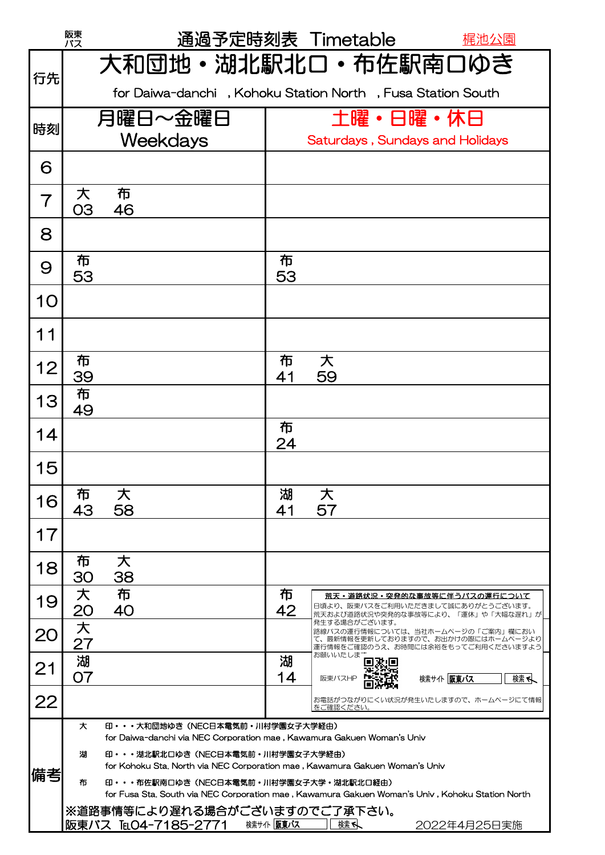|                | 阪東<br>バス                                                                                                                                         |                                                                                                                                                                                                                              |         | 通過予定時刻表 Timetable                                                                                                                          | <u> 梶池公園</u>      |  |  |  |
|----------------|--------------------------------------------------------------------------------------------------------------------------------------------------|------------------------------------------------------------------------------------------------------------------------------------------------------------------------------------------------------------------------------|---------|--------------------------------------------------------------------------------------------------------------------------------------------|-------------------|--|--|--|
| 行先             |                                                                                                                                                  | 大和団地・湖北駅北口・布佐駅南口ゆき                                                                                                                                                                                                           |         |                                                                                                                                            |                   |  |  |  |
|                |                                                                                                                                                  | for Daiwa-danchi, Kohoku Station North, Fusa Station South                                                                                                                                                                   |         |                                                                                                                                            |                   |  |  |  |
| 時刻             |                                                                                                                                                  | 月曜日~金曜日<br>Weekdays                                                                                                                                                                                                          |         | 土曜・日曜・休日<br>Saturdays, Sundays and Holidays                                                                                                |                   |  |  |  |
| 6              |                                                                                                                                                  |                                                                                                                                                                                                                              |         |                                                                                                                                            |                   |  |  |  |
| $\overline{7}$ | 大<br>O <sub>3</sub>                                                                                                                              | 布<br>46                                                                                                                                                                                                                      |         |                                                                                                                                            |                   |  |  |  |
| 8              |                                                                                                                                                  |                                                                                                                                                                                                                              |         |                                                                                                                                            |                   |  |  |  |
| 9              | 布<br>53                                                                                                                                          |                                                                                                                                                                                                                              | 布<br>53 |                                                                                                                                            |                   |  |  |  |
| 10             |                                                                                                                                                  |                                                                                                                                                                                                                              |         |                                                                                                                                            |                   |  |  |  |
| 11             |                                                                                                                                                  |                                                                                                                                                                                                                              |         |                                                                                                                                            |                   |  |  |  |
| 12             | 布<br>39                                                                                                                                          |                                                                                                                                                                                                                              | 布<br>41 | 大<br>59                                                                                                                                    |                   |  |  |  |
| 13             | 布<br>49                                                                                                                                          |                                                                                                                                                                                                                              |         |                                                                                                                                            |                   |  |  |  |
| 14             |                                                                                                                                                  |                                                                                                                                                                                                                              | 布<br>24 |                                                                                                                                            |                   |  |  |  |
| 15             |                                                                                                                                                  |                                                                                                                                                                                                                              |         |                                                                                                                                            |                   |  |  |  |
| 16             | 布<br>43                                                                                                                                          | 大<br>58                                                                                                                                                                                                                      | 湖<br>41 | 大<br>57                                                                                                                                    |                   |  |  |  |
| 17             |                                                                                                                                                  |                                                                                                                                                                                                                              |         |                                                                                                                                            |                   |  |  |  |
| 18             | 布<br>30                                                                                                                                          | 大<br>38                                                                                                                                                                                                                      |         |                                                                                                                                            |                   |  |  |  |
| 19             | 大<br>20                                                                                                                                          | 布<br>40                                                                                                                                                                                                                      | 布<br>42 | 荒天・道路状況・突発的な事故等に伴うバスの運行について<br>日頃より、阪東バスをご利用いただきまして誠にありがとうございます。<br>荒天および道路状況や突発的な事故等により、「運休」や「大幅な遅れ」が                                     |                   |  |  |  |
| 20             | 大<br>27                                                                                                                                          |                                                                                                                                                                                                                              |         | 発生する場合がございます。<br>路線バスの運行情報については、当社ホームページの「ご案内」欄におい<br>て、最新情報を更新しておりますので、お出かけの際にはホームページより<br>運行情報をご確認のうえ、お時間には余裕をもってご利用くださいますよう<br>お願いいたしまさ |                   |  |  |  |
| 21             | 湖<br>07                                                                                                                                          |                                                                                                                                                                                                                              | 湖<br>14 | 政理<br>阪東バスHP                                                                                                                               | 検索サイト 阪東バス<br>検索へ |  |  |  |
| 22             |                                                                                                                                                  |                                                                                                                                                                                                                              |         | お電話がつながりにくい状況が発生いたしますので、ホームページにて情報<br>をご確認ください。                                                                                            |                   |  |  |  |
|                | 大<br>湖                                                                                                                                           | 印・・・大和団地ゆき(NEC日本電気前・川村学園女子大学経由)<br>for Daiwa-danchi via NEC Corporation mae, Kawamura Gakuen Woman's Univ<br>印・・・湖北駅北口ゆき(NEC日本電気前・川村学園女子大学経由)<br>for Kohoku Sta, North via NEC Corporation mae, Kawamura Gakuen Woman's Univ |         |                                                                                                                                            |                   |  |  |  |
| 備考             | 印··· 布佐駅南口ゆき (NEC日本電気前·川村学園女子大学·湖北駅北口経由)<br>布<br>for Fusa Sta. South via NEC Corporation mae, Kawamura Gakuen Woman's Univ, Kohoku Station North |                                                                                                                                                                                                                              |         |                                                                                                                                            |                   |  |  |  |
|                | ※道路事情等により遅れる場合がございますのでご了承下さい。<br>阪東バス IEO4-7185-2771 株耕作 阪東な<br>検索へ<br>2022年4月25日実施                                                              |                                                                                                                                                                                                                              |         |                                                                                                                                            |                   |  |  |  |